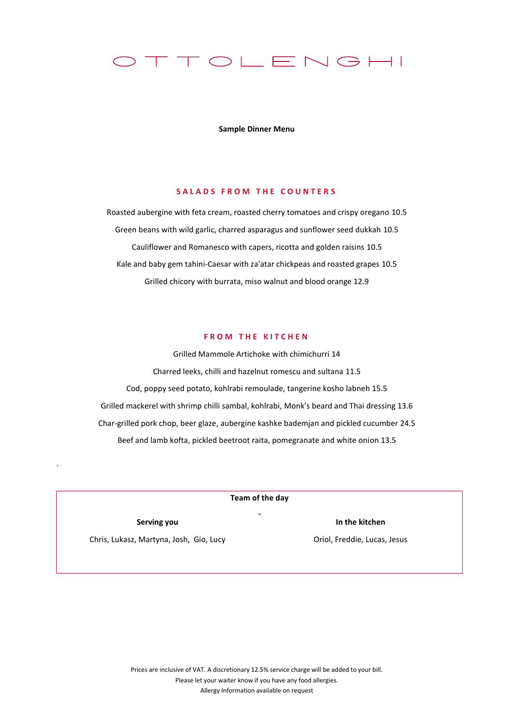

**Sample Dinner Menu**

### **S A L A D S F R O M T H E C O U N T E R S**

Roasted aubergine with feta cream, roasted cherry tomatoes and crispy oregano 10.5 Green beans with wild garlic, charred asparagus and sunflower seed dukkah 10.5 Cauliflower and Romanesco with capers, ricotta and golden raisins 10.5 Kale and baby gem tahini-Caesar with za'atar chickpeas and roasted grapes 10.5 Grilled chicory with burrata, miso walnut and blood orange 12.9

# **FROM THE KITCHEN**

Grilled Mammole Artichoke with chimichurri 14 Charred leeks, chilli and hazelnut romescu and sultana 11.5 Cod, poppy seed potato, kohlrabi remoulade, tangerine kosho labneh 15.5 Grilled mackerel with shrimp chilli sambal, kohlrabi, Monk's beard and Thai dressing 13.6 Char-grilled pork chop, beer glaze, aubergine kashke bademjan and pickled cucumber 24.5 Beef and lamb kofta, pickled beetroot raita, pomegranate and white onion 13.5

| Team of the day                         |                                            |
|-----------------------------------------|--------------------------------------------|
| Serving you                             | $\overline{\phantom{a}}$<br>In the kitchen |
| Chris, Lukasz, Martyna, Josh, Gio, Lucy | Oriol, Freddie, Lucas, Jesus               |
|                                         |                                            |

`

Prices are inclusive of VAT. A discretionary 12.5% service charge will be added to your bill. Please let your waiter know if you have any food allergies. Allergy Information available on request